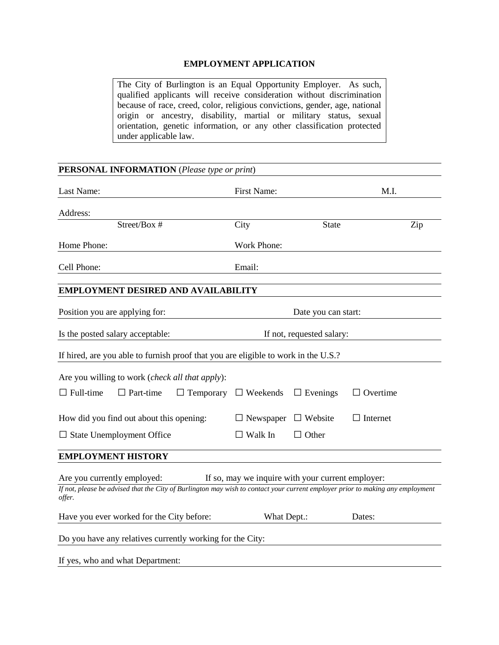## **EMPLOYMENT APPLICATION**

The City of Burlington is an Equal Opportunity Employer. As such, qualified applicants will receive consideration without discrimination because of race, creed, color, religious convictions, gender, age, national origin or ancestry, disability, martial or military status, sexual orientation, genetic information, or any other classification protected under applicable law.

## **PERSONAL INFORMATION** (*Please type or print*)

| Last Name:                                                                                                                               | <b>First Name:</b> |                           | M.I.            |  |  |
|------------------------------------------------------------------------------------------------------------------------------------------|--------------------|---------------------------|-----------------|--|--|
| Address:                                                                                                                                 |                    |                           |                 |  |  |
| Street/Box #                                                                                                                             | City               | <b>State</b>              | Zip             |  |  |
| Home Phone:                                                                                                                              | Work Phone:        |                           |                 |  |  |
| Cell Phone:                                                                                                                              | Email:             |                           |                 |  |  |
| <b>EMPLOYMENT DESIRED AND AVAILABILITY</b>                                                                                               |                    |                           |                 |  |  |
| Position you are applying for:                                                                                                           |                    | Date you can start:       |                 |  |  |
| Is the posted salary acceptable:                                                                                                         |                    | If not, requested salary: |                 |  |  |
| If hired, are you able to furnish proof that you are eligible to work in the U.S.?                                                       |                    |                           |                 |  |  |
| Are you willing to work (check all that apply):                                                                                          |                    |                           |                 |  |  |
| $\Box$ Full-time<br>$\Box$ Part-time<br>$\Box$ Temporary                                                                                 | $\Box$ Weekends    | $\Box$ Evenings           | $\Box$ Overtime |  |  |
| How did you find out about this opening:                                                                                                 | $\Box$ Newspaper   | $\Box$ Website            | $\Box$ Internet |  |  |
| $\Box$ State Unemployment Office                                                                                                         | $\Box$ Walk In     | $\Box$ Other              |                 |  |  |
| <b>EMPLOYMENT HISTORY</b>                                                                                                                |                    |                           |                 |  |  |
| Are you currently employed:<br>If so, may we inquire with your current employer:                                                         |                    |                           |                 |  |  |
| If not, please be advised that the City of Burlington may wish to contact your current employer prior to making any employment<br>offer. |                    |                           |                 |  |  |
| Have you ever worked for the City before:                                                                                                | What Dept.:        |                           | Dates:          |  |  |
| Do you have any relatives currently working for the City:                                                                                |                    |                           |                 |  |  |
| If yes, who and what Department:                                                                                                         |                    |                           |                 |  |  |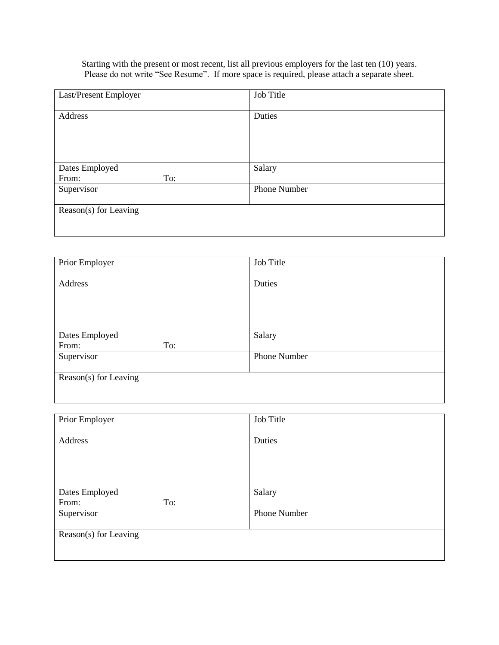Starting with the present or most recent, list all previous employers for the last ten (10) years. Please do not write "See Resume". If more space is required, please attach a separate sheet.

| Last/Present Employer | Job Title           |
|-----------------------|---------------------|
|                       |                     |
| Address               | Duties              |
|                       |                     |
|                       |                     |
|                       |                     |
|                       |                     |
| Dates Employed        | Salary              |
| To:<br>From:          |                     |
| Supervisor            | <b>Phone Number</b> |
|                       |                     |
| Reason(s) for Leaving |                     |
|                       |                     |
|                       |                     |

| Prior Employer        | Job Title           |
|-----------------------|---------------------|
|                       |                     |
| Address               | Duties              |
|                       |                     |
|                       |                     |
|                       |                     |
|                       |                     |
| Dates Employed        | Salary              |
| From:<br>To:          |                     |
| Supervisor            | <b>Phone Number</b> |
|                       |                     |
| Reason(s) for Leaving |                     |
|                       |                     |
|                       |                     |

| Prior Employer        | Job Title    |  |  |
|-----------------------|--------------|--|--|
| Address               | Duties       |  |  |
|                       |              |  |  |
|                       |              |  |  |
| Dates Employed        | Salary       |  |  |
| From:<br>To:          |              |  |  |
| Supervisor            | Phone Number |  |  |
| Reason(s) for Leaving |              |  |  |
|                       |              |  |  |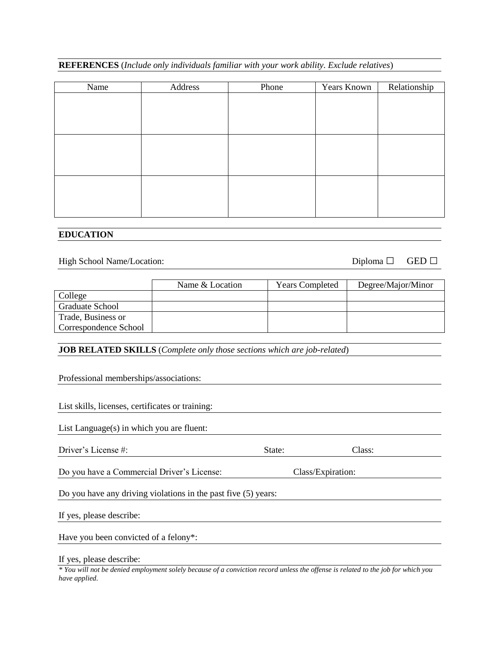|  |  |  | <b>REFERENCES</b> (Include only individuals familiar with your work ability. Exclude relatives) |
|--|--|--|-------------------------------------------------------------------------------------------------|
|  |  |  |                                                                                                 |

| Name | Address | Phone | Years Known | Relationship |
|------|---------|-------|-------------|--------------|
|      |         |       |             |              |
|      |         |       |             |              |
|      |         |       |             |              |
|      |         |       |             |              |
|      |         |       |             |              |
|      |         |       |             |              |
|      |         |       |             |              |
|      |         |       |             |              |
|      |         |       |             |              |
|      |         |       |             |              |

## **EDUCATION**

High School Name/Location: Diploma □ GED □

|                       | Name & Location | <b>Years Completed</b> | Degree/Major/Minor |
|-----------------------|-----------------|------------------------|--------------------|
| College               |                 |                        |                    |
| Graduate School       |                 |                        |                    |
| Trade, Business or    |                 |                        |                    |
| Correspondence School |                 |                        |                    |

**JOB RELATED SKILLS** (*Complete only those sections which are job-related*)

| Professional memberships/associations: |
|----------------------------------------|
|----------------------------------------|

List skills, licenses, certificates or training:

List Language(s) in which you are fluent:

| Driver'<br>$\Lambda$ accense #: | state. | lass.<br>_______ |  |
|---------------------------------|--------|------------------|--|
|                                 |        |                  |  |

Do you have a Commercial Driver's License: Class/Expiration:

Do you have any driving violations in the past five (5) years:

If yes, please describe:

Have you been convicted of a felony\*:

If yes, please describe:

*\* You will not be denied employment solely because of a conviction record unless the offense is related to the job for which you have applied.*